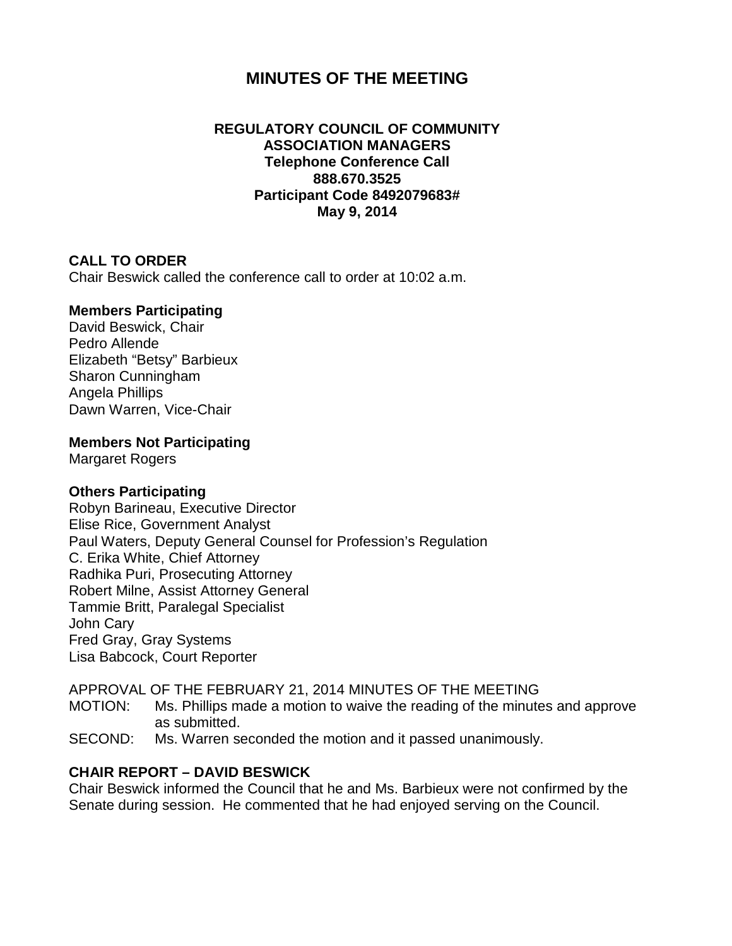# **MINUTES OF THE MEETING**

### **REGULATORY COUNCIL OF COMMUNITY ASSOCIATION MANAGERS Telephone Conference Call 888.670.3525 Participant Code 8492079683# May 9, 2014**

### **CALL TO ORDER**

Chair Beswick called the conference call to order at 10:02 a.m.

#### **Members Participating**

David Beswick, Chair Pedro Allende Elizabeth "Betsy" Barbieux Sharon Cunningham Angela Phillips Dawn Warren, Vice-Chair

#### **Members Not Participating**

Margaret Rogers

#### **Others Participating**

Robyn Barineau, Executive Director Elise Rice, Government Analyst Paul Waters, Deputy General Counsel for Profession's Regulation C. Erika White, Chief Attorney Radhika Puri, Prosecuting Attorney Robert Milne, Assist Attorney General Tammie Britt, Paralegal Specialist John Cary Fred Gray, Gray Systems Lisa Babcock, Court Reporter

APPROVAL OF THE FEBRUARY 21, 2014 MINUTES OF THE MEETING MOTION: Ms. Phillips made a motion to waive the reading of the minutes and approve as submitted.

SECOND: Ms. Warren seconded the motion and it passed unanimously.

### **CHAIR REPORT – DAVID BESWICK**

Chair Beswick informed the Council that he and Ms. Barbieux were not confirmed by the Senate during session. He commented that he had enjoyed serving on the Council.